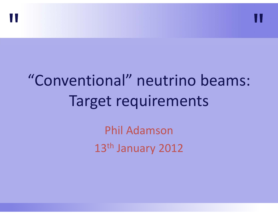



Phil Adamson13<sup>th</sup> January 2012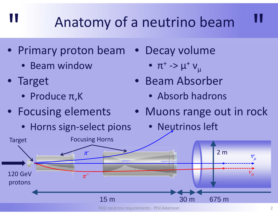### Anatomy of a neutrino beam

- Primary proton beam
	- Beam window
- Target

- Produce π,K
- Focusing elements
	- Horns sign-select pions
- Decay volume
	- $\bullet~~\pi^{\scriptscriptstyle +}$  ->  $\mu^{\scriptscriptstyle +}$  v $\rm _{\mu}$
	- Beam Absorber
		- Absorb hadrons
	- Muons range out in rock
		- Neutrinos left



PASI neutrino requirements ‐ Phil Adamson 2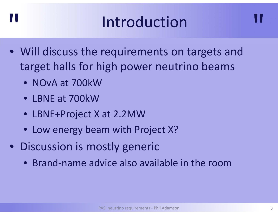#### **Introduction**

- Will discuss the requirements on targets and target halls for high power neutrino beams
	- NOvA at 700kW

- LBNE at 700kW
- LBNE+Project X at 2.2MW
- Low energy beam with Project X?
- Discussion is mostly generic
	- Brand‐name advice also available in the room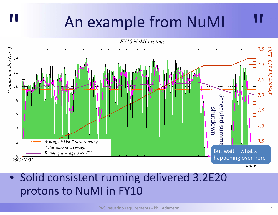#### An example from NuMI

"

**FY10 NuMI protons** 



• Solid consistent running delivered 3.2E20 protons to NuMI in FY10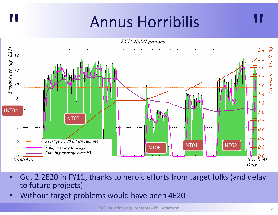#### Annus Horribilis "

**FY11 NuMI protons** 



- $\bullet$  Got 2.2E20 in FY11, thanks to heroic efforts from target folks (and delay to future projects)
- •Without target problems would have been 4E20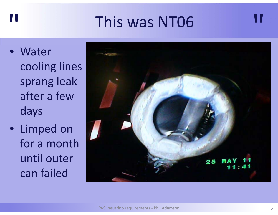#### This was NT06

• Water cooling lines sprang leak after a few days

"

• Limped on for a month until outer can failed

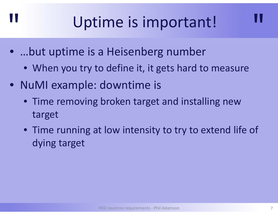# Uptime is important!

- …but uptime is <sup>a</sup> Heisenberg number
	- When you try to define it, it gets hard to measure
- NuMI example: downtime is

- Time removing broken target and installing new target
- Time running at low intensity to try to extend life of dying target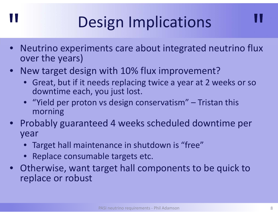# Design Implications

- $\bullet$  Neutrino experiments care about integrated neutrino flux over the years)
- New target design with 10% flux improvement?
	- Great, but if it needs replacing twice <sup>a</sup> year at 2 weeks or so downtime each, you just lost.
	- "Yield per proton vs design conservatism" Tristan this morning
- Probably guaranteed 4 weeks scheduled downtime per year
	- $\bullet$ Target hall maintenance in shutdown is "free"
	- Replace consumable targets etc.

"

• Otherwise, want target hall components to be quick to replace or robust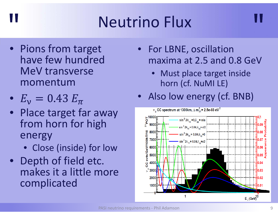# Neutrino Flux

- Pions from target have few hundred MeV transverse momentum
- $\bullet$  $L_V - L_V - L_H$

- Place target far away from horn for high energy
	- Close (inside) for low
- Depth of field etc. makes it a little more complicated
- For LBNE, oscillation maxima at 2.5 and 0.8 GeV
	- Must place target inside horn (cf. NuMI LE)
- Also low energy (cf. BNB)

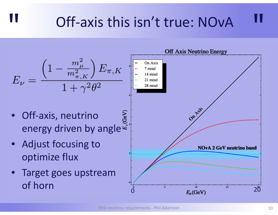#### Off-axis this isn't true: NOvA

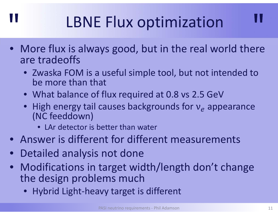# LBNE Flux optimization

- More flux is always good, but in the real world there are tradeoffs
	- Zwaska FOM is <sup>a</sup> useful simple tool, but not intended to be more than that
	- What balance of flux required at 0.8 vs 2.5 GeV
	- High energy tail causes backgrounds for  ${\rm v}_e$  appearance (NC feeddown)
		- LAr detector is better than water
- Answer is different for different measurements
- $\bullet$ • Detailed analysis not done

- Modifications in target width/length don't change the design problems much
	- Hybrid Light‐heavy target is different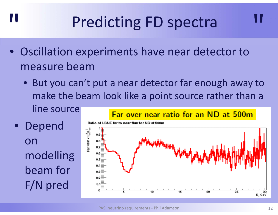# Predicting FD spectra

- Oscillation experiments have near detector to measure beam
	- But you can't put <sup>a</sup> near detector far enough away to make the beam look like <sup>a</sup> point source rather than <sup>a</sup> line source Far over near ratio for an ND at 500m

 $\bullet$  Depend onmodelling beam for F/N pred

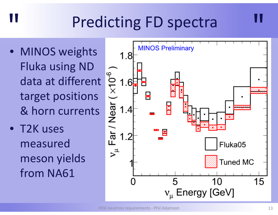# Predicting FD spectra

• MINOS weights Fluka using ND data at different target positions & horn currents

"

• T2K uses measured meson yields from NA61

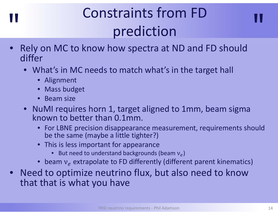### "

#### Il consumers non run prediction Constraints from FD prediction



- $\bullet$  What's in MC needs to match what's in the target hall
	- Alignment
	- Mass budget
	- Beam size
- NuMI requires horn 1, target aligned to 1mm, beam sigma known to better than 0.1mm.
	- For LBNE precision disappearance measurement, requirements should be the same (maybe <sup>a</sup> little tighter?)
	- This is less important for appearance
		- •• But need to understand backgrounds (beam  $v_e$ )
	- •• beam  $v_e$  extrapolate to FD differently (different parent kinematics)
- Need to optimize neutrino flux, but also need to know that that is what you have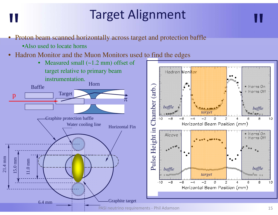# Target Alignment

• Proton beam scanned horizontally across target and protection baffle

•Also used to locate horns

"

•Hadron Monitor and the Muon Monitors used to find the edges

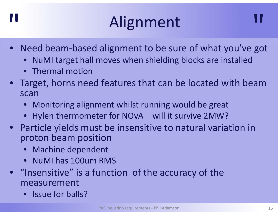# **Alignment**

- Need beam‐based alignment to be sure of what you've got
	- $\bullet$ NuMI target hall moves when shielding blocks are installed
	- Thermal motion

- Target, horns need features that can be located with beam scan
	- $\bullet$ Monitoring alignment whilst running would be great
	- Hylen thermometer for NOvA will it survive 2MW?
- Particle yields must be insensitive to natural variation in proton beam position
	- Machine dependent
	- NuMI has 100um RMS
- "Insensitive" is a function of the accuracy of the measurement
	- Issue for balls?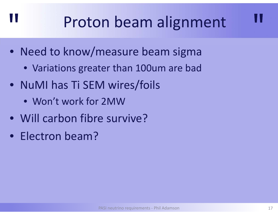# Proton beam alignment

- Need to know/measure beam sigma
	- Variations greater than 100um are bad
- NuMI has Ti SEM wires/foils
	- Won't work for 2MW
- Will carbon fibre survive?
- Electron beam?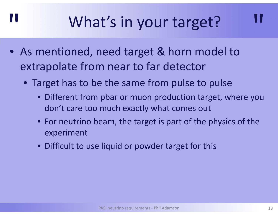# What's in your target?

• As mentioned, need target & horn model to extrapolate from near to far detector

- Target has to be the same from pulse to pulse
	- Different from pbar or muon production target, where you don't care too much exactly what comes out
	- For neutrino beam, the target is part of the physics of the experiment
	- Difficult to use liquid or powder target for this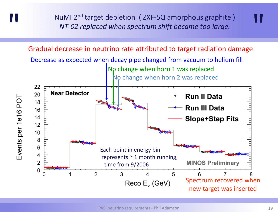NuMI 2<sup>nd</sup> target depletion ( ZXF-5Q amorphous graphite ) and NT-02 replaced when spectrum shift became too large. *NT‐02 replaced when spectrum shift became too large.*

"

Events per 1e16 POT

Gradual decrease in neutrino rate attributed to target radiation damage

Decrease as expected when decay pipe changed from vacuum to helium fill No change when horn 1 was replaced No change when horn 2 was replaced 22 **Near Detector** 20 **Run II Data** 18 **Run III Data** 16 14 **Slope+Step Fits**  $12$ 10 8 6 Each point in energy bin 4 represents  $\sim$  1 month running, 2 **MINOS Preliminary** time from 9/2006 0  $\overline{2}$ 3 5 4 6 7 Spectrum recovered when Reco  $E_v$  (GeV)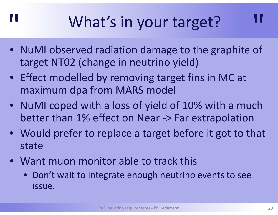# What's in your target?

- NuMI observed radiation damage to the graphite of target NT02 (change in neutrino yield)
- Effect modelled by removing target fins in MC at maximum dpa from MARS model
- NuMI coped with <sup>a</sup> loss of yield of 10% with <sup>a</sup> much better than 1% effect on Near ‐<sup>&</sup>gt; Far extrapolation
- Would prefer to replace <sup>a</sup> target before it got to that state
- Want muon monitor able to track this

"

• Don't wait to integrate enough neutrino events to see issue.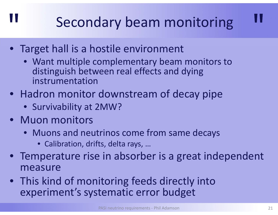#### Secondary beam monitoring

- Target hall is <sup>a</sup> hostile environment
	- Want multiple complementary beam monitors to distinguish between real effects and dying instrumentation
- Hadron monitor downstream of decay pipe
	- Survivability at 2MW?
- Muon monitors

- Muons and neutrinos come from same decays
	- Calibration, drifts, delta rays, …
- Temperature rise in absorber is <sup>a</sup> great independent measure
- This kind of monitoring feeds directly into experiment's systematic error budget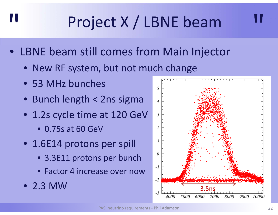# Project X / LBNE beam

- LBNE beam still comes from Main Injector
	- New RF system, but not much change
	- 53 MHz bunches

- Bunch length <sup>&</sup>lt; 2ns sigma
- 1.2s cycle time at 120 GeV
	- 0.75s at 60 GeV
- 1.6E14 protons per spill
	- 3.3E11 protons per bunch
	- Factor 4 increase over now
- 2.3 MW